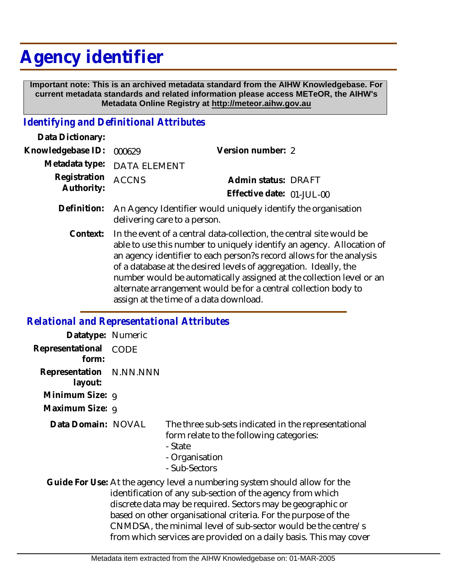# **Agency identifier**

 **Important note: This is an archived metadata standard from the AIHW Knowledgebase. For current metadata standards and related information please access METeOR, the AIHW's Metadata Online Registry at http://meteor.aihw.gov.au**

### *Identifying and Definitional Attributes*

| Data Dictionary:           |                                                                                                                                                                                                                                                                                                                                                                                                                                                                               |                           |
|----------------------------|-------------------------------------------------------------------------------------------------------------------------------------------------------------------------------------------------------------------------------------------------------------------------------------------------------------------------------------------------------------------------------------------------------------------------------------------------------------------------------|---------------------------|
| Knowledgebase ID:          | 000629                                                                                                                                                                                                                                                                                                                                                                                                                                                                        | Version number: 2         |
| Metadata type:             | <b>DATA ELEMENT</b>                                                                                                                                                                                                                                                                                                                                                                                                                                                           |                           |
| Registration<br>Authority: | <b>ACCNS</b>                                                                                                                                                                                                                                                                                                                                                                                                                                                                  | Admin status: DRAFT       |
|                            |                                                                                                                                                                                                                                                                                                                                                                                                                                                                               | Effective date: 01-JUL-00 |
| Definition:                | An Agency Identifier would uniquely identify the organisation<br>delivering care to a person.                                                                                                                                                                                                                                                                                                                                                                                 |                           |
| Context:                   | In the event of a central data-collection, the central site would be<br>able to use this number to uniquely identify an agency. Allocation of<br>an agency identifier to each person? record allows for the analysis<br>of a database at the desired levels of aggregation. Ideally, the<br>number would be automatically assigned at the collection level or an<br>alternate arrangement would be for a central collection body to<br>assign at the time of a data download. |                           |

## *Relational and Representational Attributes*

| Datatype: Numeric                  |             |                                                                                                                                                                                                                                                                           |
|------------------------------------|-------------|---------------------------------------------------------------------------------------------------------------------------------------------------------------------------------------------------------------------------------------------------------------------------|
| Representational<br>form:          | <b>CODE</b> |                                                                                                                                                                                                                                                                           |
| Representation N.NN.NNN<br>layout: |             |                                                                                                                                                                                                                                                                           |
| Minimum Size: 9                    |             |                                                                                                                                                                                                                                                                           |
| Maximum Size: 9                    |             |                                                                                                                                                                                                                                                                           |
| Data Domain: NOVAL                 |             | The three sub-sets indicated in the representational<br>form relate to the following categories:<br>- State<br>- Organisation<br>- Sub-Sectors                                                                                                                            |
|                                    |             | Guide For Use: At the agency level a numbering system should allow for the<br>identification of any sub-section of the agency from which<br>discrete data may be required. Sectors may be geographic or<br>based on other organisational criteria. For the purpose of the |

CNMDSA, the minimal level of sub-sector would be the centre/s from which services are provided on a daily basis. This may cover